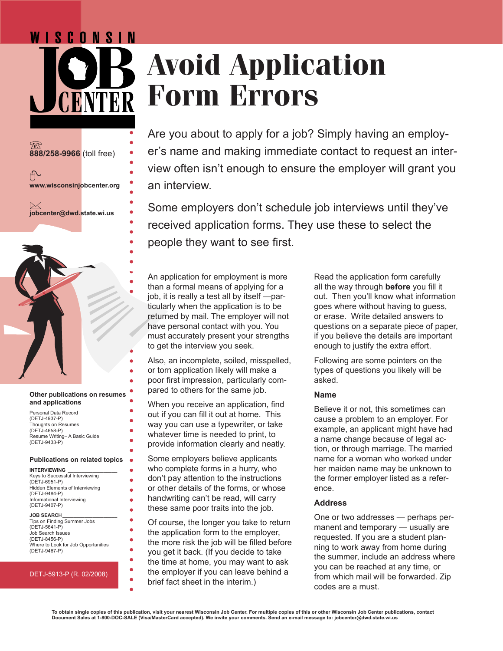# WISCONSIN **Avoid Application Form Errors**

**888/258-9966** (toll free) ∱ **www.wisconsinjobcenter.org**  $\bowtie$ **jobcenter@dwd.state.wi.us**



#### **Other publications on resumes and applications**

Personal Data Record (DETJ-4937-P) Thoughts on Resumes (DETJ-4658-P) Resume Writing– A Basic Guide (DETJ-9433-P)

#### **Publications on related topics**

 $\bullet$ 

Ä

ä

| <b>INTERVIEWING</b>                    |
|----------------------------------------|
| Keys to Successful Interviewing        |
| (DETJ-6951-P)                          |
| <b>Hidden Elements of Interviewing</b> |
| (DETJ-9484-P)                          |
| Informational Interviewing             |
| (DETJ-9407-P)                          |
|                                        |

**JOB SEARCH\_\_\_\_\_\_\_\_\_\_\_\_\_\_\_\_\_\_\_\_** Tips on Finding Summer Jobs (DETJ-5641-P) Job Search Issues (DETJ-8456-P) Where to Look for Job Opportunities (DETJ-9467-P)

#### DETJ-5913-P (R. 02/2008)

Are you about to apply for a job? Simply having an employer's name and making immediate contact to request an interview often isn't enough to ensure the employer will grant you an interview.

Some employers don't schedule job interviews until they've received application forms. They use these to select the people they want to see first.

An application for employment is more than a formal means of applying for a job, it is really a test all by itself —particularly when the application is to be returned by mail. The employer will not have personal contact with you. You must accurately present your strengths to get the interview you seek.

Also, an incomplete, soiled, misspelled, or torn application likely will make a poor first impression, particularly compared to others for the same job.

When you receive an application, find out if you can fill it out at home. This way you can use a typewriter, or take whatever time is needed to print, to provide information clearly and neatly.

Some employers believe applicants who complete forms in a hurry, who don't pay attention to the instructions or other details of the forms, or whose handwriting can't be read, will carry these same poor traits into the job.

Of course, the longer you take to return the application form to the employer, the more risk the job will be filled before you get it back. (If you decide to take the time at home, you may want to ask the employer if you can leave behind a brief fact sheet in the interim.)

Read the application form carefully all the way through **before** you fill it out. Then you'll know what information goes where without having to guess, or erase. Write detailed answers to questions on a separate piece of paper, if you believe the details are important enough to justify the extra effort.

Following are some pointers on the types of questions you likely will be asked.

#### **Name**

Believe it or not, this sometimes can cause a problem to an employer. For example, an applicant might have had a name change because of legal action, or through marriage. The married name for a woman who worked under her maiden name may be unknown to the former employer listed as a reference.

#### **Address**

One or two addresses — perhaps permanent and temporary — usually are requested. If you are a student planning to work away from home during the summer, include an address where you can be reached at any time, or from which mail will be forwarded. Zip codes are a must.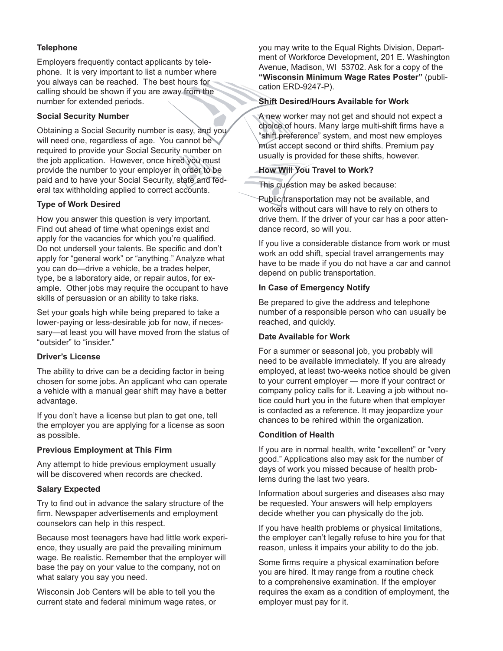# **Telephone**

Employers frequently contact applicants by telephone. It is very important to list a number where you always can be reached. The best hours for calling should be shown if you are away from the number for extended periods.

### **Social Security Number**

Obtaining a Social Security number is easy, and you will need one, regardless of age. You cannot be required to provide your Social Security number on the job application. However, once hired you must provide the number to your employer in order to be paid and to have your Social Security, state and federal tax withholding applied to correct accounts.

# **Type of Work Desired**

How you answer this question is very important. Find out ahead of time what openings exist and apply for the vacancies for which you're qualified. Do not undersell your talents. Be specific and don't apply for "general work" or "anything." Analyze what you can do—drive a vehicle, be a trades helper, type, be a laboratory aide, or repair autos, for example. Other jobs may require the occupant to have skills of persuasion or an ability to take risks.

Set your goals high while being prepared to take a lower-paying or less-desirable job for now, if necessary—at least you will have moved from the status of "outsider" to "insider."

# **Driver's License**

The ability to drive can be a deciding factor in being chosen for some jobs. An applicant who can operate a vehicle with a manual gear shift may have a better advantage.

If you don't have a license but plan to get one, tell the employer you are applying for a license as soon as possible.

# **Previous Employment at This Firm**

Any attempt to hide previous employment usually will be discovered when records are checked.

# **Salary Expected**

Try to find out in advance the salary structure of the firm. Newspaper advertisements and employment counselors can help in this respect.

Because most teenagers have had little work experience, they usually are paid the prevailing minimum wage. Be realistic. Remember that the employer will base the pay on your value to the company, not on what salary you say you need.

Wisconsin Job Centers will be able to tell you the current state and federal minimum wage rates, or you may write to the Equal Rights Division, Department of Workforce Development, 201 E. Washington Avenue, Madison, WI 53702. Ask for a copy of the **"Wisconsin Minimum Wage Rates Poster"** (publication ERD-9247-P).

# **Shift Desired/Hours Available for Work**

A new worker may not get and should not expect a choice of hours. Many large multi-shift firms have a "shift preference" system, and most new employes must accept second or third shifts. Premium pay usually is provided for these shifts, however.

# **How Will You Travel to Work?**

This question may be asked because:

Public transportation may not be available, and workers without cars will have to rely on others to drive them. If the driver of your car has a poor attendance record, so will you.

If you live a considerable distance from work or must work an odd shift, special travel arrangements may have to be made if you do not have a car and cannot depend on public transportation.

# **In Case of Emergency Notify**

Be prepared to give the address and telephone number of a responsible person who can usually be reached, and quickly.

# **Date Available for Work**

For a summer or seasonal job, you probably will need to be available immediately. If you are already employed, at least two-weeks notice should be given to your current employer — more if your contract or company policy calls for it. Leaving a job without notice could hurt you in the future when that employer is contacted as a reference. It may jeopardize your chances to be rehired within the organization.

#### **Condition of Health**

If you are in normal health, write "excellent" or "very good." Applications also may ask for the number of days of work you missed because of health problems during the last two years.

Information about surgeries and diseases also may be requested. Your answers will help employers decide whether you can physically do the job.

If you have health problems or physical limitations, the employer can't legally refuse to hire you for that reason, unless it impairs your ability to do the job.

Some firms require a physical examination before you are hired. It may range from a routine check to a comprehensive examination. If the employer requires the exam as a condition of employment, the employer must pay for it.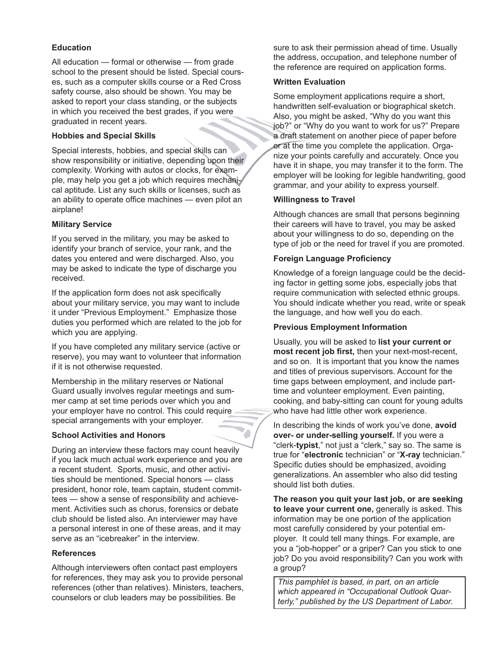# **Education**

All education — formal or otherwise — from grade school to the present should be listed. Special courses, such as a computer skills course or a Red Cross safety course, also should be shown. You may be asked to report your class standing, or the subjects in which you received the best grades, if you were graduated in recent years.

# **Hobbies and Special Skills**

Special interests, hobbies, and special skills can show responsibility or initiative, depending upon their complexity. Working with autos or clocks, for example, may help you get a job which requires mechanical aptitude. List any such skills or licenses, such as an ability to operate office machines — even pilot an airplane!

# **Military Service**

If you served in the military, you may be asked to identify your branch of service, your rank, and the dates you entered and were discharged. Also, you may be asked to indicate the type of discharge you received.

If the application form does not ask specifically about your military service, you may want to include it under "Previous Employment." Emphasize those duties you performed which are related to the job for which you are applying.

If you have completed any military service (active or reserve), you may want to volunteer that information if it is not otherwise requested.

Membership in the military reserves or National Guard usually involves regular meetings and summer camp at set time periods over which you and your employer have no control. This could require special arrangements with your employer.

#### **School Activities and Honors**

During an interview these factors may count heavily if you lack much actual work experience and you are a recent student. Sports, music, and other activities should be mentioned. Special honors — class president, honor role, team captain, student committees — show a sense of responsibility and achievement. Activities such as chorus, forensics or debate club should be listed also. An interviewer may have a personal interest in one of these areas, and it may serve as an "icebreaker" in the interview.

#### **References**

Although interviewers often contact past employers for references, they may ask you to provide personal references (other than relatives). Ministers, teachers, counselors or club leaders may be possibilities. Be

sure to ask their permission ahead of time. Usually the address, occupation, and telephone number of the reference are required on application forms.

#### **Written Evaluation**

Some employment applications require a short, handwritten self-evaluation or biographical sketch. Also, you might be asked, "Why do you want this job?" or "Why do you want to work for us?" Prepare a draft statement on another piece of paper before or at the time you complete the application. Organize your points carefully and accurately. Once you have it in shape, you may transfer it to the form. The employer will be looking for legible handwriting, good grammar, and your ability to express yourself.

#### **Willingness to Travel**

Although chances are small that persons beginning their careers will have to travel, you may be asked about your willingness to do so, depending on the type of job or the need for travel if you are promoted.

# **Foreign Language Proficiency**

Knowledge of a foreign language could be the deciding factor in getting some jobs, especially jobs that require communication with selected ethnic groups. You should indicate whether you read, write or speak the language, and how well you do each.

#### **Previous Employment Information**

Usually, you will be asked to **list your current or most recent job first,** then your next-most-recent, and so on. It is important that you know the names and titles of previous supervisors. Account for the time gaps between employment, and include parttime and volunteer employment. Even painting, cooking, and baby-sitting can count for young adults who have had little other work experience.

In describing the kinds of work you've done, **avoid over- or under-selling yourself.** If you were a "clerk-**typist**," not just a "clerk," say so. The same is true for "**electronic** technician" or "**X-ray** technician." Specific duties should be emphasized, avoiding generalizations. An assembler who also did testing should list both duties.

**The reason you quit your last job, or are seeking to leave your current one,** generally is asked. This information may be one portion of the application most carefully considered by your potential employer. It could tell many things. For example, are you a "job-hopper" or a griper? Can you stick to one job? Do you avoid responsibility? Can you work with a group?

*This pamphlet is based, in part, on an article which appeared in "Occupational Outlook Quarterly," published by the US Department of Labor.*